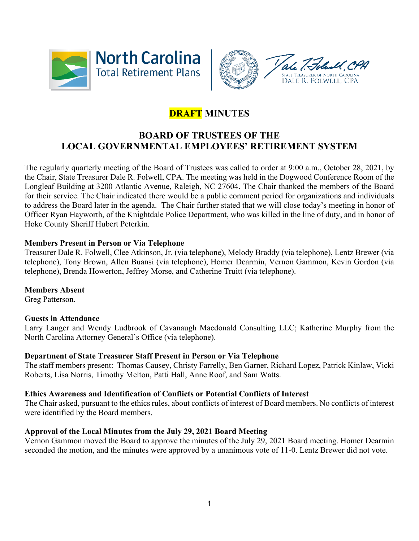



# **DRAFT MINUTES**

## **BOARD OF TRUSTEES OF THE LOCAL GOVERNMENTAL EMPLOYEES' RETIREMENT SYSTEM**

The regularly quarterly meeting of the Board of Trustees was called to order at 9:00 a.m., October 28, 2021, by the Chair, State Treasurer Dale R. Folwell, CPA. The meeting was held in the Dogwood Conference Room of the Longleaf Building at 3200 Atlantic Avenue, Raleigh, NC 27604. The Chair thanked the members of the Board for their service. The Chair indicated there would be a public comment period for organizations and individuals to address the Board later in the agenda. The Chair further stated that we will close today's meeting in honor of Officer Ryan Hayworth, of the Knightdale Police Department, who was killed in the line of duty, and in honor of Hoke County Sheriff Hubert Peterkin.

## **Members Present in Person or Via Telephone**

Treasurer Dale R. Folwell, Clee Atkinson, Jr. (via telephone), Melody Braddy (via telephone), Lentz Brewer (via telephone), Tony Brown, Allen Buansi (via telephone), Homer Dearmin, Vernon Gammon, Kevin Gordon (via telephone), Brenda Howerton, Jeffrey Morse, and Catherine Truitt (via telephone).

## **Members Absent**

Greg Patterson.

#### **Guests in Attendance**

Larry Langer and Wendy Ludbrook of Cavanaugh Macdonald Consulting LLC; Katherine Murphy from the North Carolina Attorney General's Office (via telephone).

#### **Department of State Treasurer Staff Present in Person or Via Telephone**

The staff members present: Thomas Causey, Christy Farrelly, Ben Garner, Richard Lopez, Patrick Kinlaw, Vicki Roberts, Lisa Norris, Timothy Melton, Patti Hall, Anne Roof, and Sam Watts.

#### **Ethics Awareness and Identification of Conflicts or Potential Conflicts of Interest**

The Chair asked, pursuant to the ethics rules, about conflicts of interest of Board members. No conflicts of interest were identified by the Board members.

## **Approval of the Local Minutes from the July 29, 2021 Board Meeting**

Vernon Gammon moved the Board to approve the minutes of the July 29, 2021 Board meeting. Homer Dearmin seconded the motion, and the minutes were approved by a unanimous vote of 11-0. Lentz Brewer did not vote.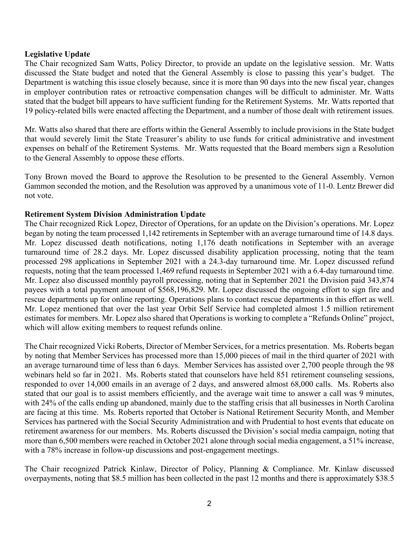#### **Legislative Update**

The Chair recognized Sam Watts, Policy Director, to provide an update on the legislative session. Mr. Watts discussed the State budget and noted that the General Assembly is close to passing this year's budget. The Department is watching this issue closely because, since it is more than 90 days into the new fiscal year, changes in employer contribution rates or retroactive compensation changes will be difficult to administer. Mr. Watts stated that the budget bill appears to have sufficient funding for the Retirement Systems. Mr. Watts reported that 19 policy-related bills were enacted affecting the Department, and a number of those dealt with retirement issues.

Mr. Watts also shared that there are efforts within the General Assembly to include provisions in the State budget that would severely limit the State Treasurer's ability to use funds for critical administrative and investment expenses on behalf of the Retirement Systems. Mr. Watts requested that the Board members sign a Resolution to the General Assembly to oppose these efforts.

Tony Brown moved the Board to approve the Resolution to be presented to the General Assembly. Vernon Gammon seconded the motion, and the Resolution was approved by a unanimous vote of 11-0. Lentz Brewer did not vote.

#### **Retirement System Division Administration Update**

The Chair recognized Rick Lopez, Director of Operations, for an update on the Division's operations. Mr. Lopez began by noting the team processed 1,142 retirements in September with an average turnaround time of 14.8 days. Mr. Lopez discussed death notifications, noting 1,176 death notifications in September with an average turnaround time of 28.2 days. Mr. Lopez discussed disability application processing, noting that the team processed 298 applications in September 2021 with a 24.3-day turnaround time. Mr. Lopez discussed refund requests, noting that the team processed 1,469 refund requests in September 2021 with a 6.4-day turnaround time. Mr. Lopez also discussed monthly payroll processing, noting that in September 2021 the Division paid 343,874 payees with a total payment amount of \$568,196,829. Mr. Lopez discussed the ongoing effort to sign fire and rescue departments up for online reporting. Operations plans to contact rescue departments in this effort as well. Mr. Lopez mentioned that over the last year Orbit Self Service had completed almost 1.5 million retirement estimates for members. Mr. Lopez also shared that Operations is working to complete a "Refunds Online" project, which will allow exiting members to request refunds online.

The Chair recognized Vicki Roberts, Director of Member Services, for a metrics presentation. Ms. Roberts began by noting that Member Services has processed more than 15,000 pieces of mail in the third quarter of 2021 with an average turnaround time of less than 6 days. Member Services has assisted over 2,700 people through the 98 webinars held so far in 2021. Ms. Roberts stated that counselors have held 851 retirement counseling sessions, responded to over 14,000 emails in an average of 2 days, and answered almost 68,000 calls. Ms. Roberts also stated that our goal is to assist members efficiently, and the average wait time to answer a call was 9 minutes, with 24% of the calls ending up abandoned, mainly due to the staffing crisis that all businesses in North Carolina are facing at this time. Ms. Roberts reported that October is National Retirement Security Month, and Member Services has partnered with the Social Security Administration and with Prudential to host events that educate on retirement awareness for our members. Ms. Roberts discussed the Division's social media campaign, noting that more than 6,500 members were reached in October 2021 alone through social media engagement, a 51% increase, with a 78% increase in follow-up discussions and post-engagement meetings.

The Chair recognized Patrick Kinlaw, Director of Policy, Planning & Compliance. Mr. Kinlaw discussed overpayments, noting that \$8.5 million has been collected in the past 12 months and there is approximately \$38.5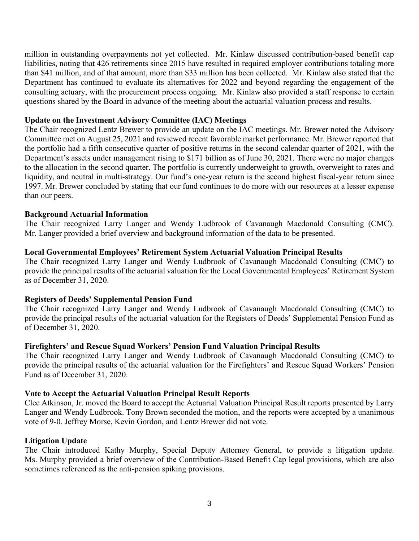million in outstanding overpayments not yet collected. Mr. Kinlaw discussed contribution-based benefit cap liabilities, noting that 426 retirements since 2015 have resulted in required employer contributions totaling more than \$41 million, and of that amount, more than \$33 million has been collected. Mr. Kinlaw also stated that the Department has continued to evaluate its alternatives for 2022 and beyond regarding the engagement of the consulting actuary, with the procurement process ongoing. Mr. Kinlaw also provided a staff response to certain questions shared by the Board in advance of the meeting about the actuarial valuation process and results.

#### **Update on the Investment Advisory Committee (IAC) Meetings**

The Chair recognized Lentz Brewer to provide an update on the IAC meetings. Mr. Brewer noted the Advisory Committee met on August 25, 2021 and reviewed recent favorable market performance. Mr. Brewer reported that the portfolio had a fifth consecutive quarter of positive returns in the second calendar quarter of 2021, with the Department's assets under management rising to \$171 billion as of June 30, 2021. There were no major changes to the allocation in the second quarter. The portfolio is currently underweight to growth, overweight to rates and liquidity, and neutral in multi-strategy. Our fund's one-year return is the second highest fiscal-year return since 1997. Mr. Brewer concluded by stating that our fund continues to do more with our resources at a lesser expense than our peers.

#### **Background Actuarial Information**

The Chair recognized Larry Langer and Wendy Ludbrook of Cavanaugh Macdonald Consulting (CMC). Mr. Langer provided a brief overview and background information of the data to be presented.

#### **Local Governmental Employees' Retirement System Actuarial Valuation Principal Results**

The Chair recognized Larry Langer and Wendy Ludbrook of Cavanaugh Macdonald Consulting (CMC) to provide the principal results of the actuarial valuation for the Local Governmental Employees' Retirement System as of December 31, 2020.

#### **Registers of Deeds' Supplemental Pension Fund**

The Chair recognized Larry Langer and Wendy Ludbrook of Cavanaugh Macdonald Consulting (CMC) to provide the principal results of the actuarial valuation for the Registers of Deeds' Supplemental Pension Fund as of December 31, 2020.

#### **Firefighters' and Rescue Squad Workers' Pension Fund Valuation Principal Results**

The Chair recognized Larry Langer and Wendy Ludbrook of Cavanaugh Macdonald Consulting (CMC) to provide the principal results of the actuarial valuation for the Firefighters' and Rescue Squad Workers' Pension Fund as of December 31, 2020.

#### **Vote to Accept the Actuarial Valuation Principal Result Reports**

Clee Atkinson, Jr. moved the Board to accept the Actuarial Valuation Principal Result reports presented by Larry Langer and Wendy Ludbrook. Tony Brown seconded the motion, and the reports were accepted by a unanimous vote of 9-0. Jeffrey Morse, Kevin Gordon, and Lentz Brewer did not vote.

#### **Litigation Update**

The Chair introduced Kathy Murphy, Special Deputy Attorney General, to provide a litigation update. Ms. Murphy provided a brief overview of the Contribution-Based Benefit Cap legal provisions, which are also sometimes referenced as the anti-pension spiking provisions.